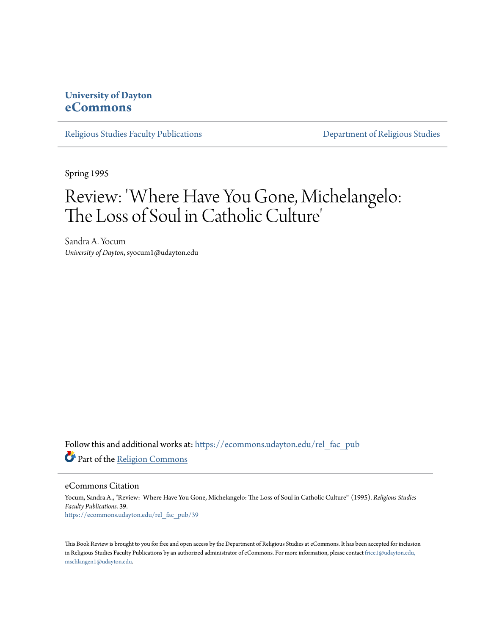## **University of Dayton [eCommons](https://ecommons.udayton.edu?utm_source=ecommons.udayton.edu%2Frel_fac_pub%2F39&utm_medium=PDF&utm_campaign=PDFCoverPages)**

[Religious Studies Faculty Publications](https://ecommons.udayton.edu/rel_fac_pub?utm_source=ecommons.udayton.edu%2Frel_fac_pub%2F39&utm_medium=PDF&utm_campaign=PDFCoverPages) [Department of Religious Studies](https://ecommons.udayton.edu/rel?utm_source=ecommons.udayton.edu%2Frel_fac_pub%2F39&utm_medium=PDF&utm_campaign=PDFCoverPages)

Spring 1995

## Review: 'Where Have You Gone, Michelangelo: The Loss of Soul in Catholic Culture '

Sandra A. Yocum *University of Dayton*, syocum1@udayton.edu

Follow this and additional works at: [https://ecommons.udayton.edu/rel\\_fac\\_pub](https://ecommons.udayton.edu/rel_fac_pub?utm_source=ecommons.udayton.edu%2Frel_fac_pub%2F39&utm_medium=PDF&utm_campaign=PDFCoverPages) Part of the [Religion Commons](http://network.bepress.com/hgg/discipline/538?utm_source=ecommons.udayton.edu%2Frel_fac_pub%2F39&utm_medium=PDF&utm_campaign=PDFCoverPages)

eCommons Citation

Yocum, Sandra A., "Review: 'Where Have You Gone, Michelangelo: The Loss of Soul in Catholic Culture'" (1995). *Religious Studies Faculty Publications*. 39. [https://ecommons.udayton.edu/rel\\_fac\\_pub/39](https://ecommons.udayton.edu/rel_fac_pub/39?utm_source=ecommons.udayton.edu%2Frel_fac_pub%2F39&utm_medium=PDF&utm_campaign=PDFCoverPages)

This Book Review is brought to you for free and open access by the Department of Religious Studies at eCommons. It has been accepted for inclusion in Religious Studies Faculty Publications by an authorized administrator of eCommons. For more information, please contact [frice1@udayton.edu,](mailto:frice1@udayton.edu,%20mschlangen1@udayton.edu) [mschlangen1@udayton.edu.](mailto:frice1@udayton.edu,%20mschlangen1@udayton.edu)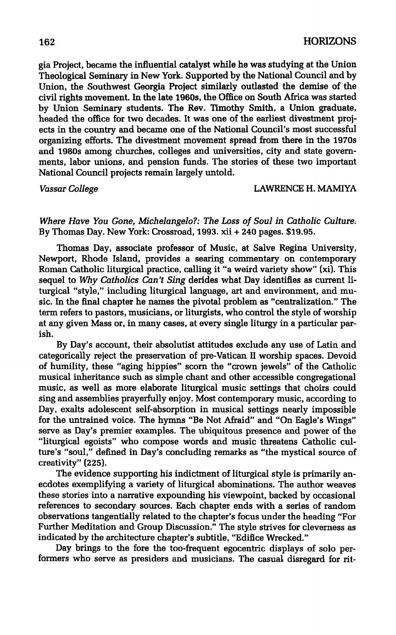**già Project, became the influential catalyst while he was studying at the Union Theological Seminary in New York. Supported by the National Council and by Union, the Southwest Georgia Project similarly outlasted the demise of the civil rights movement. In the late 1960s, the Office on South Africa was started by Union Seminary students. The Rev. Timothy Smith, a Union graduate, headed the office for two decades. It was one of the earliest divestment projects in the country and became one of the National Council's most successful organizing efforts. The divestment movement spread from there in the 1970s and 1980s among churches, colleges and universities, city and state governments, labor unions, and pension funds. The stories of these two important National Council projects remain largely untold.** 

*Vassar College* **LAWRENCE H. MAMIYA** 

*Where Have You Gone, Michelangelo?: The Loss of Soul in Catholic Culture.*  **By Thomas Day. New York: Crossroad, 1993. xii + 240 pages. \$19.95.** 

**Thomas Day, associate professor of Music, at Salve Regina University, Newport, Rhode Island, provides a searing commentary on contemporary Roman Catholic liturgical practice, calling it "a weird variety show" (xi). This sequel to** *Why Catholics Can't Sing* **derides what Day identifies as current liturgical "style," including liturgical language, art and environment, and music. In the final chapter he names the pivotal problem as "centralization." The term refers to pastors, musicians, or liturgists, who control the style of worship at any given Mass or, in many cases, at every single liturgy in a particular parish.** 

**By Day's account, their absolutist attitudes exclude any use of Latin and categorically reject the preservation of pre-Vatican II worship spaces. Devoid of humility, these "aging hippies" scorn the "crown jewels" of the Catholic musical inheritance such as simple chant and other accessible congregational music, as well as more elaborate liturgical music settings that choirs could sing and assemblies prayerfully enjoy. Most contemporary music, according to Day, exalts adolescent self-absorption in musical settings nearly impossible for the untrained voice. The hymns "Be Not Afraid" and "On Eagle's Wings" serve as Day's premier examples. The ubiquitous presence and power of the "liturgical egoists" who compose words and music threatens Catholic culture's "soul," defined in Day's concluding remarks as "the mystical source of creativity" (225).** 

**The evidence supporting his indictment of liturgical style is primarily anecdotes exemplifying a variety of liturgical abominations. The author weaves these stories into a narrative expounding his viewpoint, backed by occasional references to secondary sources. Each chapter ends with a series of random observations tangentially related to the chapter's focus under the heading "For Further Meditation and Group Discussion." The style strives for cleverness as indicated by the architecture chapter's subtitle, "Edifice Wrecked."** 

**Day brings to the fore the too-frequent egocentric displays of solo performers who serve as presiders and musicians. The casual disregard for rit-**